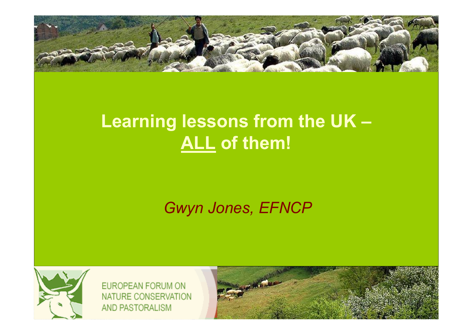

# **Learning lessons from the UK –ALL of them!**

#### *Gwyn Jones, EFNCP*



EUROPEAN FORUM ON NATURE CONSERVATION AND PASTORALISM

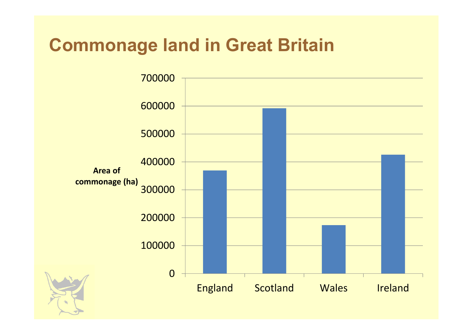# **Commonage land in Great Britain**

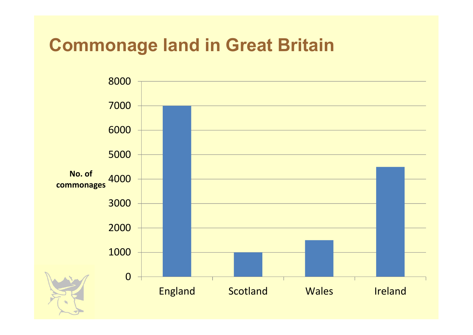### **Commonage land in Great Britain**

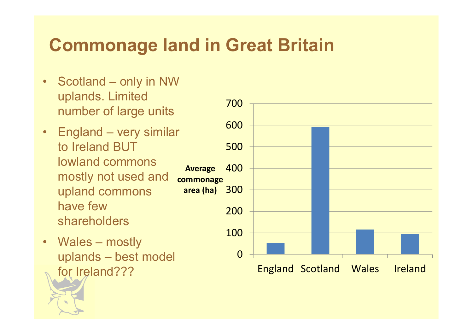## **Commonage land in Great Britain**

- • Scotland – only in NW uplands. Limited number of large units
- England very similar<br>the lighted PLIT to Ireland BUT lowland commons mostly not used and upland commons have few shareholders
- Wales mostly uplands – best model for Ireland???

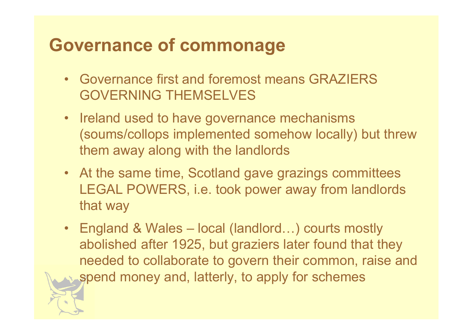## **Governance of commonage**

- Governance first and foremost means GRAZIERS<br>COVERNING TUEMSELVES GOVERNING THEMSELVES
- Ireland used to have governance mechanisms (soums/collops implemented somehow locally) but threw them away along with the landlords
- At the same time, Scotland gave grazings committees LEGAL POWERS, i.e. took power away from landlords that way
- England & Wales local (landlord...) courts mostly abolished after 1925, but graziers later found that they needed to collaborate to govern their common, raise andspend money and, latterly, to apply for schemes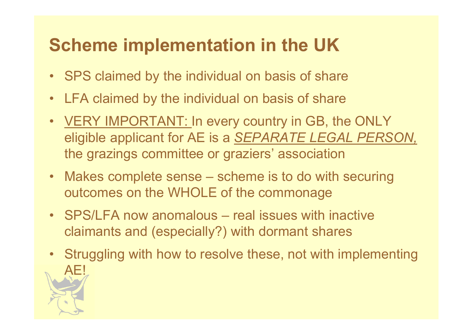# **Scheme implementation in the UK**

- •SPS claimed by the individual on basis of share
- •LFA claimed by the individual on basis of share
- <u>VERY IMPORTANT:</u> In every country in GB, the ONLY<br>clieble exclient for AF is a SERARATE LEGAL REBS eligible applicant for AE is a *SEPARATE LEGAL PERSON,* the grazings committee or graziers' association
- Makes complete sense scheme is to do with securing  $\cdot$ outcomes on the WHOLE of the commonage
- SPS/LFA now anomalous real issues with inactive slains and (separately  $\Omega$ ) with degree the separate claimants and (especially?) with dormant shares
- • Struggling with how to resolve these, not with implementing AE!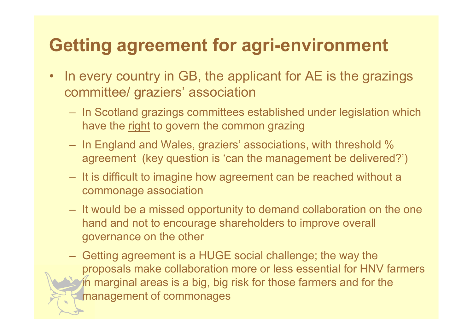# **Getting agreement for agri-environment**

- • In every country in GB, the applicant for AE is the grazings committee/ graziers' association
	- In Scotland grazings committees established under legislation which have the right to govern the common grazing
	- In England and Wales, graziers' associations, with threshold % agreement (key question is 'can the management be delivered?')
	- It is difficult to imagine how agreement can be reached without a commonage association
	- It would be a missed opportunity to demand collaboration on the one hand and not to encourage shareholders to improve overall governance on the other
	- Getting agreement is a HUGE social challenge; the way the proposals make collaboration more or less essential for HNV farmers in marginal areas is a big, big risk for those farmers and for the management of commonages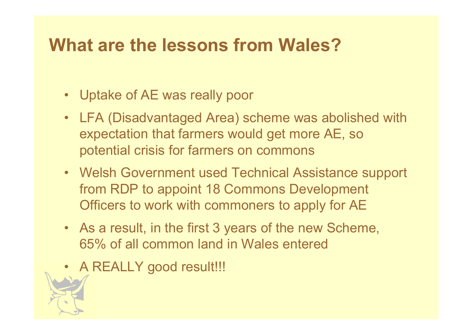### **What are the lessons from Wales?**

- Uptake of AE was really poor
- LFA (Disadvantaged Area) scheme was abolished with expectation that farmers would get more AE, so potential crisis for farmers on commons
- Welsh Government used Technical Assistance support from RDP to appoint 18 Commons Development Officers to work with commoners to apply for AE
- As a result, in the first 3 years of the new Scheme, 65% of all common land in Wales entered
- A REALLY good result!!!<br>Next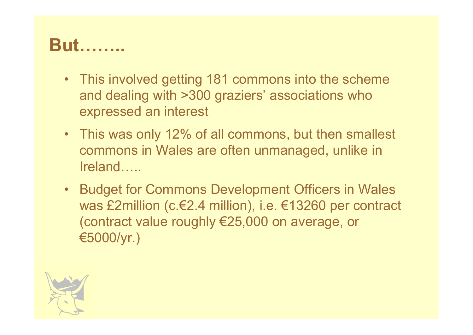## **But!!..**

- This involved getting 181 commons into the scheme and dealing with >300 graziers' associations who expressed an interest
- This was only 12% of all commons, but then smallest commons in Wales are often unmanaged, unlike in  $I$ reland $\ldots$ .
- Budget for Commons Development Officers in Wales was £2million (c.€2.4 million), i.e. €13260 per contract (contract value roughly €25,000 on average, or €5000/yr.)

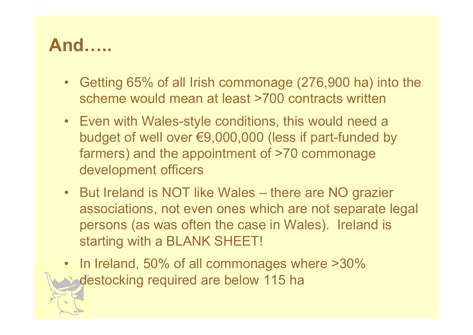## **And!..**

- $\bullet$  Getting 65% of all Irish commonage (276,900 ha) into the scheme would mean at least >700 contracts written
- Even with Wales-style conditions, this would need a budget of well over €9,000,000 (less if part-funded by farmers) and the appointment of >70 commonage development officers
- But Ireland is NOT like Wales there are NO grazier associations, not even ones which are not separate legal persons (as was often the case in Wales). Ireland is starting with a BLANK SHEET!
- In Ireland, 50% of all commonages where >30% destocking required are below 115 ha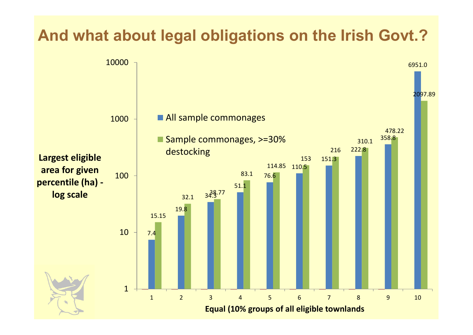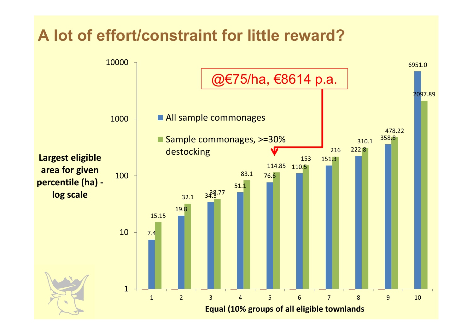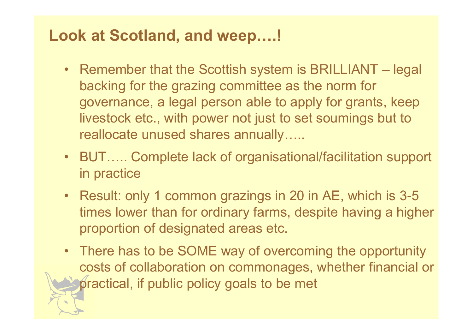#### **Look at Scotland, and weep....!**

- Remember that the Scottish system is BRILLIANT legal backing for the grazing committee as the norm for governance, a legal person able to apply for grants, keeplivestock etc., with power not just to set soumings but to reallocate unused shares annually.....
- BUT..... Complete lack of organisational/facilitation support in practice
- Result: only 1 common grazings in 20 in AE, which is 3-5 times lower than for ordinary farms, despite having a higher proportion of designated areas etc.
- There has to be SOME way of overcoming the opportunity costs of collaboration on commonages, whether financial orpractical, if public policy goals to be met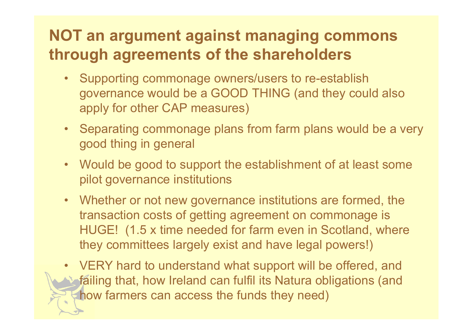#### **NOT an argument against managing commons through agreements of the shareholders**

- Supporting commonage owners/users to re-establish<br>examples a condition of the second there are the second governance would be a GOOD THING (and they could also apply for other CAP measures)
- Separating commonage plans from farm plans would be a very good thing in general
- Would be good to support the establishment of at least some pilot governance institutions
- Whether or not new governance institutions are formed, the transaction costs of getting agreement on commonage is HUGE! (1.5 x time needed for farm even in Scotland, where they committees largely exist and have legal powers!)
- • VERY hard to understand what support will be offered, and failing that, how Ireland can fulfil its Natura obligations (and how farmers can access the funds they need)